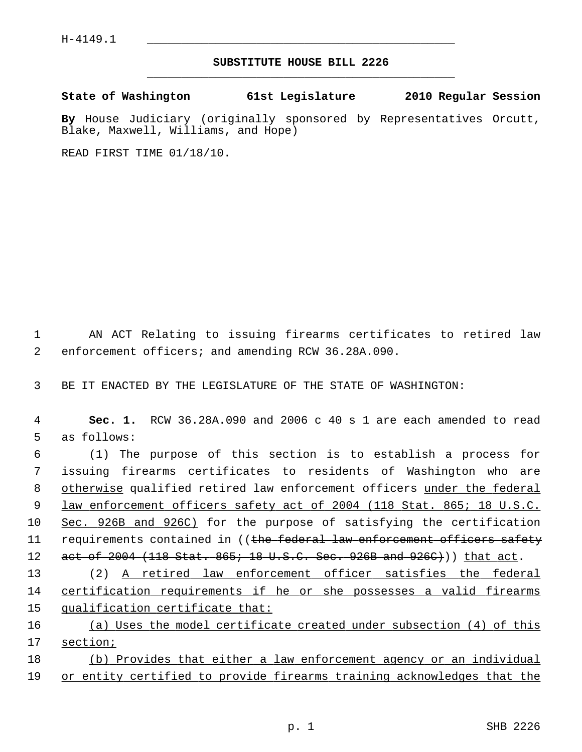## **SUBSTITUTE HOUSE BILL 2226** \_\_\_\_\_\_\_\_\_\_\_\_\_\_\_\_\_\_\_\_\_\_\_\_\_\_\_\_\_\_\_\_\_\_\_\_\_\_\_\_\_\_\_\_\_

**State of Washington 61st Legislature 2010 Regular Session**

**By** House Judiciary (originally sponsored by Representatives Orcutt, Blake, Maxwell, Williams, and Hope)

READ FIRST TIME 01/18/10.

 1 AN ACT Relating to issuing firearms certificates to retired law 2 enforcement officers; and amending RCW 36.28A.090.

3 BE IT ENACTED BY THE LEGISLATURE OF THE STATE OF WASHINGTON:

 4 **Sec. 1.** RCW 36.28A.090 and 2006 c 40 s 1 are each amended to read 5 as follows:

 6 (1) The purpose of this section is to establish a process for 7 issuing firearms certificates to residents of Washington who are 8 otherwise qualified retired law enforcement officers under the federal 9 law enforcement officers safety act of 2004 (118 Stat. 865; 18 U.S.C. 10 Sec. 926B and 926C) for the purpose of satisfying the certification 11 requirements contained in ((the federal law enforcement officers safety 12 act of 2004 (118 Stat. 865; 18 U.S.C. Sec. 926B and 926C))) that act.

13 (2) A retired law enforcement officer satisfies the federal 14 certification requirements if he or she possesses a valid firearms 15 qualification certificate that:

16 (a) Uses the model certificate created under subsection (4) of this 17 section;

18 (b) Provides that either a law enforcement agency or an individual 19 or entity certified to provide firearms training acknowledges that the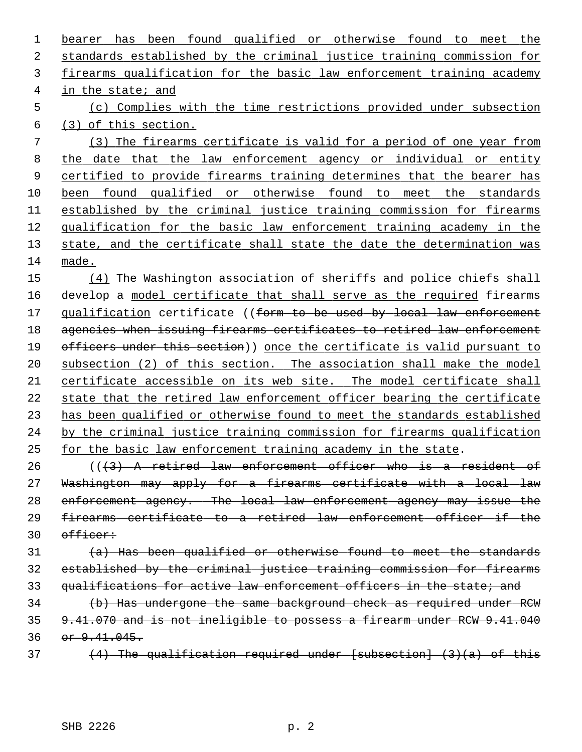bearer has been found qualified or otherwise found to meet the standards established by the criminal justice training commission for firearms qualification for the basic law enforcement training academy in the state; and (c) Complies with the time restrictions provided under subsection (3) of this section. (3) The firearms certificate is valid for a period of one year from the date that the law enforcement agency or individual or entity certified to provide firearms training determines that the bearer has been found qualified or otherwise found to meet the standards 11 established by the criminal justice training commission for firearms qualification for the basic law enforcement training academy in the state, and the certificate shall state the date the determination was made. (4) The Washington association of sheriffs and police chiefs shall

16 develop a model certificate that shall serve as the required firearms 17 qualification certificate ((form to be used by local law enforcement agencies when issuing firearms certificates to retired law enforcement 19 officers under this section)) once the certificate is valid pursuant to subsection (2) of this section. The association shall make the model certificate accessible on its web site. The model certificate shall state that the retired law enforcement officer bearing the certificate has been qualified or otherwise found to meet the standards established by the criminal justice training commission for firearms qualification for the basic law enforcement training academy in the state.

 (( $\left(43\right)$ ) A retired law enforcement officer who is a resident of Washington may apply for a firearms certificate with a local law enforcement agency. The local law enforcement agency may issue the firearms certificate to a retired law enforcement officer if the officer:

 $(a)$  Has been qualified or otherwise found to meet the standards established by the criminal justice training commission for firearms 33 qualifications for active law enforcement officers in the state; and

34 (b) Has undergone the same background check as required under RCW 9.41.070 and is not ineligible to possess a firearm under RCW 9.41.040 36 or 9.41.045.

 $(4)$  The qualification required under [subsection]  $(3)(a)$  of this